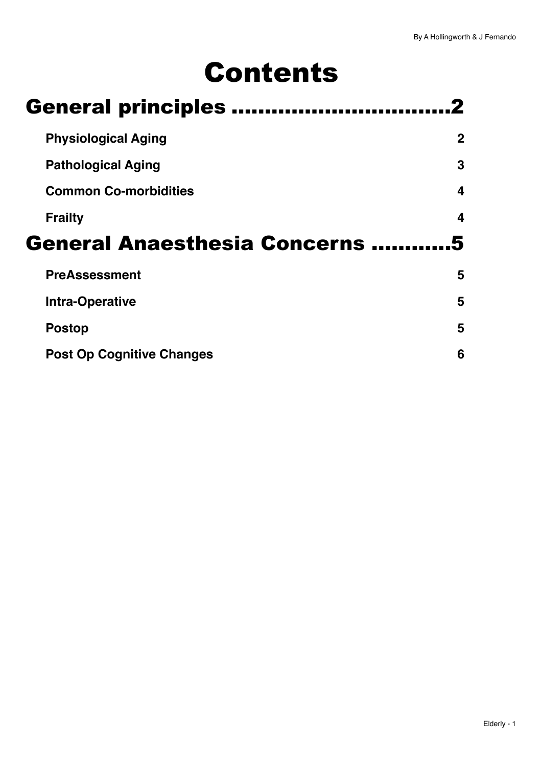# Contents

| <b>General principles </b>          |             |
|-------------------------------------|-------------|
| <b>Physiological Aging</b>          | $\mathbf 2$ |
| <b>Pathological Aging</b>           | 3           |
| <b>Common Co-morbidities</b>        | 4           |
| <b>Frailty</b>                      | 4           |
|                                     |             |
| <b>General Anaesthesia Concerns</b> |             |
| <b>PreAssessment</b>                | 5           |
| <b>Intra-Operative</b>              | 5           |
| <b>Postop</b>                       | 5           |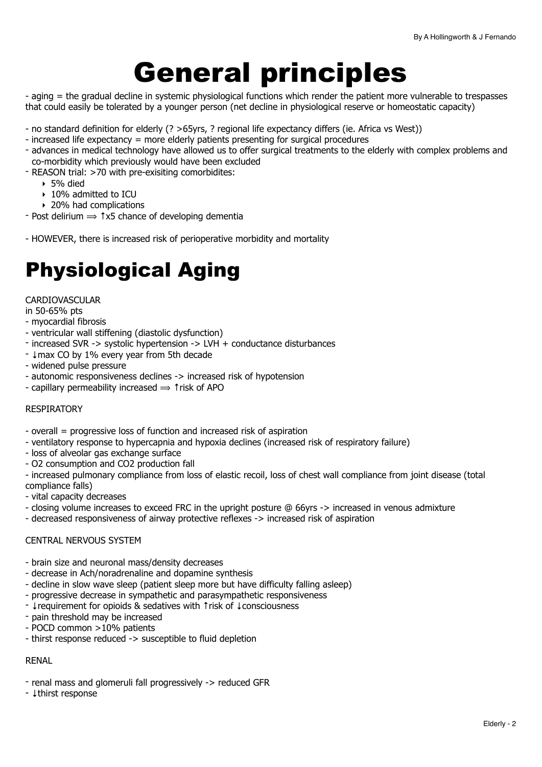# <span id="page-1-0"></span>General principles

- aging = the gradual decline in systemic physiological functions which render the patient more vulnerable to trespasses that could easily be tolerated by a younger person (net decline in physiological reserve or homeostatic capacity)

- no standard definition for elderly (? >65yrs, ? regional life expectancy differs (ie. Africa vs West))
- increased life expectancy = more elderly patients presenting for surgical procedures
- advances in medical technology have allowed us to offer surgical treatments to the elderly with complex problems and co-morbidity which previously would have been excluded
- REASON trial: >70 with pre-exisiting comorbidites:
	- $\blacktriangleright$  5% died
	- ‣ 10% admitted to ICU
	- ▶ 20% had complications
- $\text{-}$  Post delirium  $\Rightarrow$   $\uparrow$ x5 chance of developing dementia
- HOWEVER, there is increased risk of perioperative morbidity and mortality

# <span id="page-1-1"></span>Physiological Aging

#### CARDIOVASCULAR

in 50-65% pts

- myocardial fibrosis
- ventricular wall stiffening (diastolic dysfunction)
- increased SVR -> systolic hypertension -> LVH + conductance disturbances
- ↓max CO by 1% every year from 5th decade
- widened pulse pressure
- autonomic responsiveness declines -> increased risk of hypotension
- capillary permeability increased  $\Rightarrow$  1 risk of APO

#### RESPIRATORY

- overall = progressive loss of function and increased risk of aspiration
- ventilatory response to hypercapnia and hypoxia declines (increased risk of respiratory failure)
- loss of alveolar gas exchange surface
- O2 consumption and CO2 production fall

- increased pulmonary compliance from loss of elastic recoil, loss of chest wall compliance from joint disease (total compliance falls)

- vital capacity decreases
- closing volume increases to exceed FRC in the upright posture @ 66yrs -> increased in venous admixture
- decreased responsiveness of airway protective reflexes -> increased risk of aspiration

#### CENTRAL NERVOUS SYSTEM

- brain size and neuronal mass/density decreases
- decrease in Ach/noradrenaline and dopamine synthesis
- decline in slow wave sleep (patient sleep more but have difficulty falling asleep)
- progressive decrease in sympathetic and parasympathetic responsiveness
- ↓requirement for opioids & sedatives with ↑risk of ↓consciousness
- pain threshold may be increased
- POCD common >10% patients
- thirst response reduced -> susceptible to fluid depletion

#### RENAL

- renal mass and glomeruli fall progressively -> reduced GFR
- ↓thirst response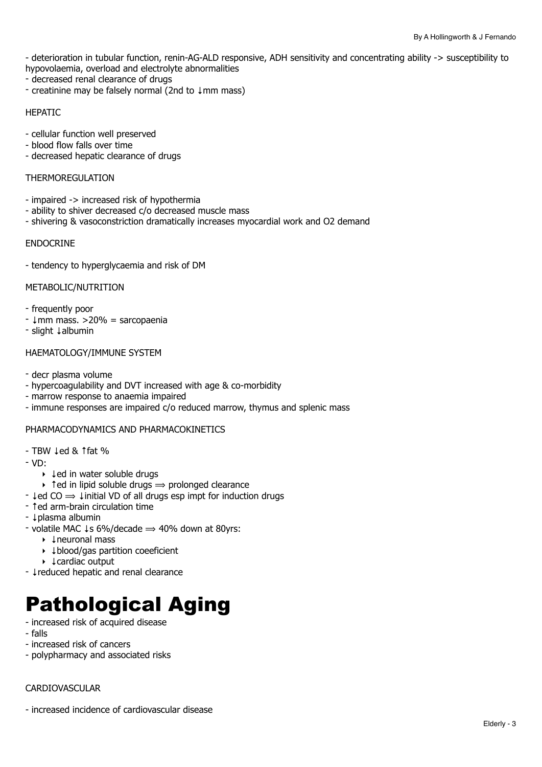- deterioration in tubular function, renin-AG-ALD responsive, ADH sensitivity and concentrating ability -> susceptibility to hypovolaemia, overload and electrolyte abnormalities

- decreased renal clearance of drugs
- creatinine may be falsely normal (2nd to ↓mm mass)

#### HEPATIC

- cellular function well preserved
- blood flow falls over time
- decreased hepatic clearance of drugs

#### **THERMOREGULATION**

- impaired -> increased risk of hypothermia
- ability to shiver decreased c/o decreased muscle mass
- shivering & vasoconstriction dramatically increases myocardial work and O2 demand

#### ENDOCRINE

- tendency to hyperglycaemia and risk of DM

#### METABOLIC/NUTRITION

- frequently poor
- ↓mm mass. >20% = sarcopaenia
- slight ↓albumin

#### HAEMATOLOGY/IMMUNE SYSTEM

- decr plasma volume
- hypercoagulability and DVT increased with age & co-morbidity
- marrow response to anaemia impaired
- immune responses are impaired c/o reduced marrow, thymus and splenic mass

#### PHARMACODYNAMICS AND PHARMACOKINETICS

- TBW ↓ed & ↑fat %
- VD:
	- ‣ ↓ed in water soluble drugs
	- $\rightarrow$  1 ed in lipid soluble drugs  $\rightarrow$  prolonged clearance
- $\downarrow$ ed CO  $\Rightarrow$   $\downarrow$  initial VD of all drugs esp impt for induction drugs
- ↑ed arm-brain circulation time
- ↓plasma albumin
- volatile MAC  $\downarrow$ s 6%/decade  $\Rightarrow$  40% down at 80yrs:
	- ‣ ↓neuronal mass
	- ‣ ↓blood/gas partition coeeficient
	- ‣ ↓cardiac output
- ↓reduced hepatic and renal clearance

# <span id="page-2-0"></span>Pathological Aging

- increased risk of acquired disease
- falls
- increased risk of cancers
- polypharmacy and associated risks

#### CARDIOVASCULAR

- increased incidence of cardiovascular disease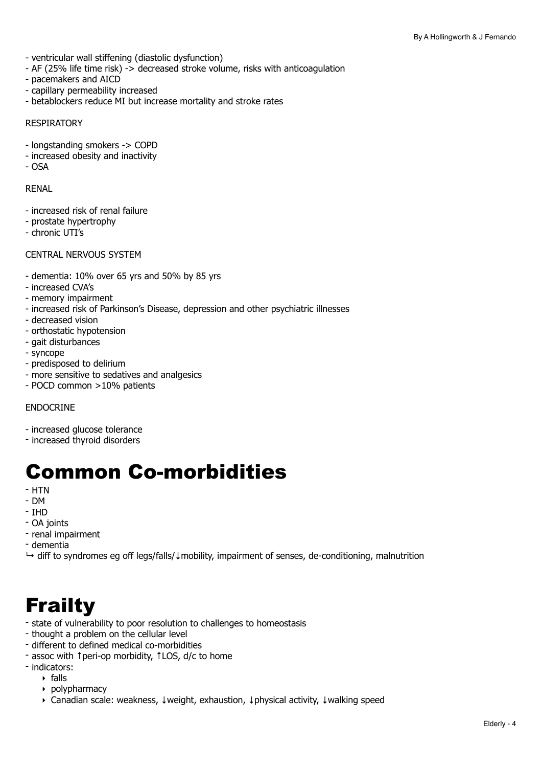- ventricular wall stiffening (diastolic dysfunction)
- AF (25% life time risk) -> decreased stroke volume, risks with anticoagulation
- pacemakers and AICD
- capillary permeability increased
- betablockers reduce MI but increase mortality and stroke rates

#### RESPIRATORY

- longstanding smokers -> COPD
- increased obesity and inactivity
- $-$  OSA

#### RENAL

- increased risk of renal failure
- prostate hypertrophy
- chronic UTI's

#### CENTRAL NERVOUS SYSTEM

- dementia: 10% over 65 yrs and 50% by 85 yrs
- increased CVA's
- memory impairment
- increased risk of Parkinson's Disease, depression and other psychiatric illnesses
- decreased vision
- orthostatic hypotension
- gait disturbances
- syncope
- predisposed to delirium
- more sensitive to sedatives and analgesics
- POCD common >10% patients

#### **ENDOCRINE**

- increased glucose tolerance
- increased thyroid disorders

## <span id="page-3-0"></span>Common Co-morbidities

- HTN
- DM
- IHD
- OA joints
- renal impairment
- dementia
- ↳ diff to syndromes eg off legs/falls/↓mobility, impairment of senses, de-conditioning, malnutrition

## <span id="page-3-1"></span>**Frailty**

- state of vulnerability to poor resolution to challenges to homeostasis
- thought a problem on the cellular level
- different to defined medical co-morbidities
- assoc with ↑peri-op morbidity, ↑LOS, d/c to home
- indicators:
	- ‣ falls
	- ‣ polypharmacy
	- ‣ Canadian scale: weakness, ↓weight, exhaustion, ↓physical activity, ↓walking speed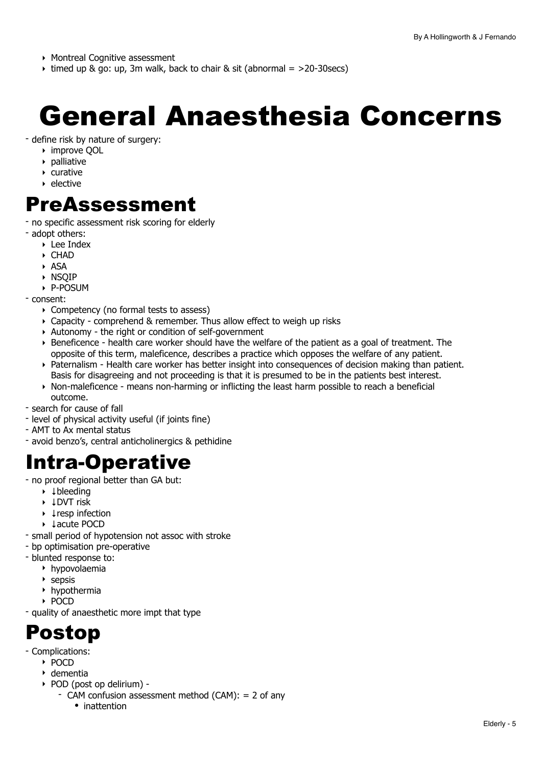- ‣ Montreal Cognitive assessment
- $\rightarrow$  timed up & go: up, 3m walk, back to chair & sit (abnormal =  $>20$ -30secs)

# <span id="page-4-0"></span>General Anaesthesia Concerns

- define risk by nature of surgery:

- ‣ improve QOL
- ‣ palliative
- ‣ curative
- ‣ elective

### <span id="page-4-1"></span>PreAssessment

- no specific assessment risk scoring for elderly

- adopt others:
	- ‣ Lee Index
	- ‣ CHAD
	- ‣ ASA
	- ‣ NSQIP
	- ‣ P-POSUM
- consent:
	- ‣ Competency (no formal tests to assess)
	- ‣ Capacity comprehend & remember. Thus allow effect to weigh up risks
	- ‣ Autonomy the right or condition of self-government
	- ‣ Beneficence health care worker should have the welfare of the patient as a goal of treatment. The opposite of this term, maleficence, describes a practice which opposes the welfare of any patient.
	- ‣ Paternalism Health care worker has better insight into consequences of decision making than patient. Basis for disagreeing and not proceeding is that it is presumed to be in the patients best interest.
	- ‣ Non-maleficence means non-harming or inflicting the least harm possible to reach a beneficial outcome.
- search for cause of fall
- level of physical activity useful (if joints fine)
- AMT to Ax mental status
- avoid benzo's, central anticholinergics & pethidine

## <span id="page-4-2"></span>Intra-Operative

- no proof regional better than GA but:
	- ‣ ↓bleeding
	- ‣ ↓DVT risk
	- ‣ ↓resp infection
	- ‣ ↓acute POCD
- small period of hypotension not assoc with stroke
- bp optimisation pre-operative
- blunted response to:
	- ‣ hypovolaemia
	- ‣ sepsis
	- ‣ hypothermia
	- ‣ POCD
- quality of anaesthetic more impt that type

## <span id="page-4-3"></span>Postop

- Complications:
	- ‣ POCD
	- ‣ dementia
	- ‣ POD (post op delirium)
		- CAM confusion assessment method (CAM): = 2 of any
			- inattention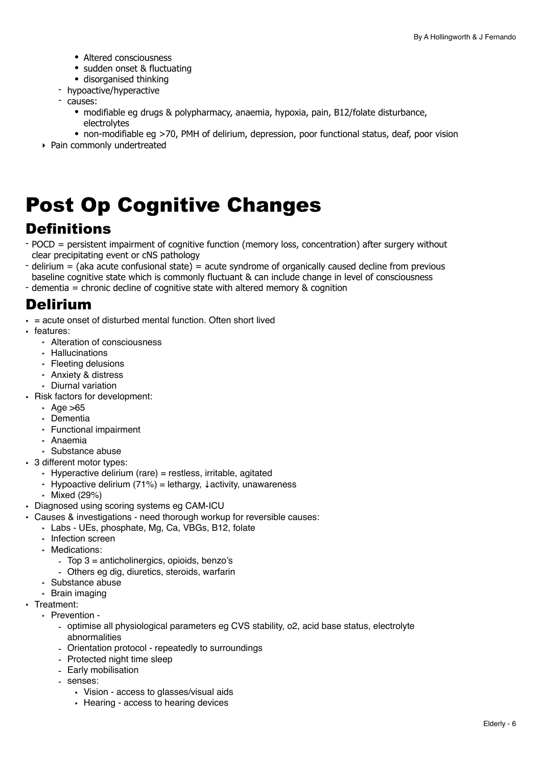- Altered consciousness
- sudden onset & fluctuating
- disorganised thinking
- hypoactive/hyperactive
- causes:
	- modifiable eg drugs & polypharmacy, anaemia, hypoxia, pain, B12/folate disturbance, electrolytes
	- non-modifiable eg >70, PMH of delirium, depression, poor functional status, deaf, poor vision
- ‣ Pain commonly undertreated

# <span id="page-5-0"></span>Post Op Cognitive Changes

### **Definitions**

- POCD = persistent impairment of cognitive function (memory loss, concentration) after surgery without clear precipitating event or cNS pathology
- $delirium = (aka acute confusional state) = acute syndrome of organically caused decline from previous$ baseline cognitive state which is commonly fluctuant & can include change in level of consciousness
- dementia = chronic decline of cognitive state with altered memory & cognition

### Delirium

- $\cdot$  = acute onset of disturbed mental function. Often short lived
- features:
	- ‣ Alteration of consciousness
	- ‣ Hallucinations
	- ‣ Fleeting delusions
	- ‣ Anxiety & distress
	- ‣ Diurnal variation
- Risk factors for development:
	- $\cdot$  Age  $>65$
	- ‣ Dementia
	- ‣ Functional impairment
	- ‣ Anaemia
	- ‣ Substance abuse
- 3 different motor types:
	- $\cdot$  Hyperactive delirium (rare) = restless, irritable, agitated
	- ‣ Hypoactive delirium (71%) = lethargy, ↓activity, unawareness
	- ‣ Mixed (29%)
- Diagnosed using scoring systems eg CAM-ICU
- Causes & investigations need thorough workup for reversible causes:
	- ‣ Labs UEs, phosphate, Mg, Ca, VBGs, B12, folate
	- ‣ Infection screen
	- ‣ Medications:
		- Top 3 = anticholinergics, opioids, benzo's
		- Others eg dig, diuretics, steroids, warfarin
	- ‣ Substance abuse
	- ‣ Brain imaging
- Treatment:
	- ‣ Prevention
		- optimise all physiological parameters eg CVS stability, o2, acid base status, electrolyte abnormalities
		- Orientation protocol repeatedly to surroundings
		- Protected night time sleep
		- Early mobilisation
		- senses:
			- Vision access to glasses/visual aids
			- Hearing access to hearing devices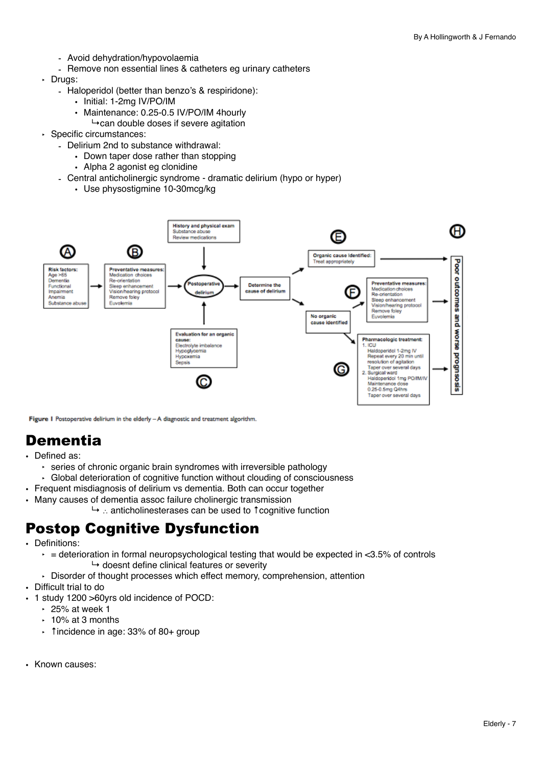- Avoid dehydration/hypovolaemia
- Remove non essential lines & catheters eg urinary catheters
- ‣ Drugs:
	- Haloperidol (better than benzo's & respiridone):
		- Initial: 1-2mg IV/PO/IM
			- Maintenance: 0.25-0.5 IV/PO/IM 4hourly
			- $\rightarrow$ can double doses if severe agitation
- ‣ Specific circumstances:
	- Delirium 2nd to substance withdrawal:
		- Down taper dose rather than stopping
		- Alpha 2 agonist eg clonidine
	- Central anticholinergic syndrome dramatic delirium (hypo or hyper)
		- Use physostigmine 10-30mcg/kg



Figure 1 Postoperative delirium in the elderly - A diagnostic and treatment algorithm.

### **Dementia**

- Defined as:
	- ‣ series of chronic organic brain syndromes with irreversible pathology
	- ‣ Global deterioration of cognitive function without clouding of consciousness
- Frequent misdiagnosis of delirium vs dementia. Both can occur together
- Many causes of dementia assoc failure cholinergic transmission
	- ↳ ∴ anticholinesterases can be used to ↑cognitive function

### Postop Cognitive Dysfunction

- Definitions:
	- $\epsilon$  = deterioration in formal neuropsychological testing that would be expected in <3.5% of controls  $\rightarrow$  doesnt define clinical features or severity
	- ‣ Disorder of thought processes which effect memory, comprehension, attention
- Difficult trial to do
- 1 study 1200 >60yrs old incidence of POCD:
	- $\cdot$  25% at week 1
	- $\cdot$  10% at 3 months
	- ‣ ↑incidence in age: 33% of 80+ group
- Known causes: